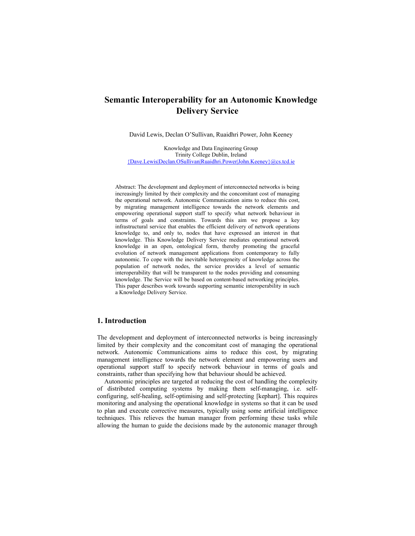# **Semantic Interoperability for an Autonomic Knowledge Delivery Service**

David Lewis, Declan O'Sullivan, Ruaidhri Power, John Keeney

Knowledge and Data Engineering Group Trinity College Dublin, Ireland {Dave.Lewis|Declan.OSullivan|Ruaidhri.Power|John.Keeney}@cs.tcd.ie

Abstract: The development and deployment of interconnected networks is being increasingly limited by their complexity and the concomitant cost of managing the operational network. Autonomic Communication aims to reduce this cost, by migrating management intelligence towards the network elements and empowering operational support staff to specify what network behaviour in terms of goals and constraints. Towards this aim we propose a key infrastructural service that enables the efficient delivery of network operations knowledge to, and only to, nodes that have expressed an interest in that knowledge. This Knowledge Delivery Service mediates operational network knowledge in an open, ontological form, thereby promoting the graceful evolution of network management applications from contemporary to fully autonomic. To cope with the inevitable heterogeneity of knowledge across the population of network nodes, the service provides a level of semantic interoperability that will be transparent to the nodes providing and consuming knowledge. The Service will be based on content-based networking principles. This paper describes work towards supporting semantic interoperability in such a Knowledge Delivery Service.

# **1. Introduction**

The development and deployment of interconnected networks is being increasingly limited by their complexity and the concomitant cost of managing the operational network. Autonomic Communications aims to reduce this cost, by migrating management intelligence towards the network element and empowering users and operational support staff to specify network behaviour in terms of goals and constraints, rather than specifying how that behaviour should be achieved.

Autonomic principles are targeted at reducing the cost of handling the complexity of distributed computing systems by making them self-managing, i.e. selfconfiguring, self-healing, self-optimising and self-protecting [kephart]. This requires monitoring and analysing the operational knowledge in systems so that it can be used to plan and execute corrective measures, typically using some artificial intelligence techniques. This relieves the human manager from performing these tasks while allowing the human to guide the decisions made by the autonomic manager through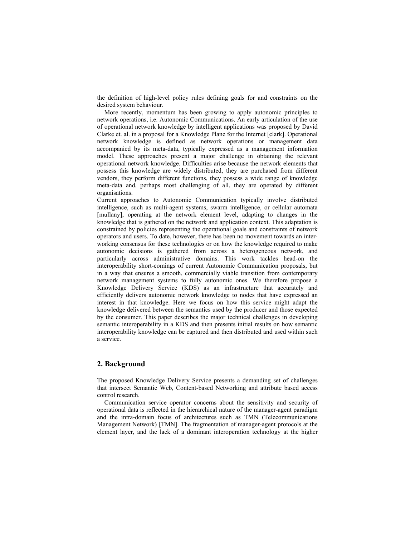the definition of high-level policy rules defining goals for and constraints on the desired system behaviour.

More recently, momentum has been growing to apply autonomic principles to network operations, i.e. Autonomic Communications. An early articulation of the use of operational network knowledge by intelligent applications was proposed by David Clarke et. al. in a proposal for a Knowledge Plane for the Internet [clark]. Operational network knowledge is defined as network operations or management data accompanied by its meta-data, typically expressed as a management information model. These approaches present a major challenge in obtaining the relevant operational network knowledge. Difficulties arise because the network elements that possess this knowledge are widely distributed, they are purchased from different vendors, they perform different functions, they possess a wide range of knowledge meta-data and, perhaps most challenging of all, they are operated by different organisations.

Current approaches to Autonomic Communication typically involve distributed intelligence, such as multi-agent systems, swarm intelligence, or cellular automata [mullany], operating at the network element level, adapting to changes in the knowledge that is gathered on the network and application context. This adaptation is constrained by policies representing the operational goals and constraints of network operators and users. To date, however, there has been no movement towards an interworking consensus for these technologies or on how the knowledge required to make autonomic decisions is gathered from across a heterogeneous network, and particularly across administrative domains. This work tackles head-on the interoperability short-comings of current Autonomic Communication proposals, but in a way that ensures a smooth, commercially viable transition from contemporary network management systems to fully autonomic ones. We therefore propose a Knowledge Delivery Service (KDS) as an infrastructure that accurately and efficiently delivers autonomic network knowledge to nodes that have expressed an interest in that knowledge. Here we focus on how this service might adapt the knowledge delivered between the semantics used by the producer and those expected by the consumer. This paper describes the major technical challenges in developing semantic interoperability in a KDS and then presents initial results on how semantic interoperability knowledge can be captured and then distributed and used within such a service.

# **2. Background**

The proposed Knowledge Delivery Service presents a demanding set of challenges that intersect Semantic Web, Content-based Networking and attribute based access control research.

Communication service operator concerns about the sensitivity and security of operational data is reflected in the hierarchical nature of the manager-agent paradigm and the intra-domain focus of architectures such as TMN (Telecommunications Management Network) [TMN]. The fragmentation of manager-agent protocols at the element layer, and the lack of a dominant interoperation technology at the higher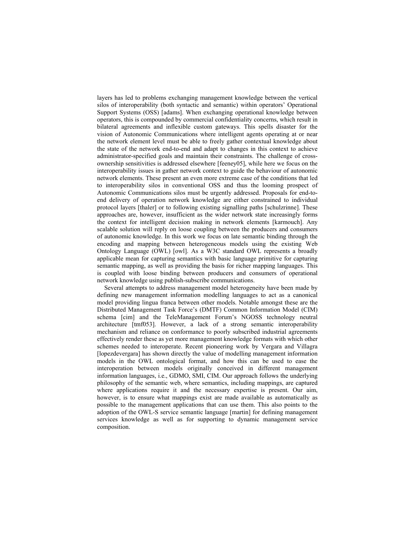layers has led to problems exchanging management knowledge between the vertical silos of interoperability (both syntactic and semantic) within operators' Operational Support Systems (OSS) [adams]. When exchanging operational knowledge between operators, this is compounded by commercial confidentiality concerns, which result in bilateral agreements and inflexible custom gateways. This spells disaster for the vision of Autonomic Communications where intelligent agents operating at or near the network element level must be able to freely gather contextual knowledge about the state of the network end-to-end and adapt to changes in this context to achieve administrator-specified goals and maintain their constraints. The challenge of crossownership sensitivities is addressed elsewhere [feeney05], while here we focus on the interoperability issues in gather network context to guide the behaviour of autonomic network elements. These present an even more extreme case of the conditions that led to interoperability silos in conventional OSS and thus the looming prospect of Autonomic Communications silos must be urgently addressed. Proposals for end-toend delivery of operation network knowledge are either constrained to individual protocol layers [thaler] or to following existing signalling paths [schulzrinne]. These approaches are, however, insufficient as the wider network state increasingly forms the context for intelligent decision making in network elements [karmouch]. Any scalable solution will reply on loose coupling between the producers and consumers of autonomic knowledge. In this work we focus on late semantic binding through the encoding and mapping between heterogeneous models using the existing Web Ontology Language (OWL) [owl]. As a W3C standard OWL represents a broadly applicable mean for capturing semantics with basic language primitive for capturing semantic mapping, as well as providing the basis for richer mapping languages. This is coupled with loose binding between producers and consumers of operational network knowledge using publish-subscribe communications.

Several attempts to address management model heterogeneity have been made by defining new management information modelling languages to act as a canonical model providing lingua franca between other models. Notable amongst these are the Distributed Management Task Force's (DMTF) Common Information Model (CIM) schema [cim] and the TeleManagement Forum's NGOSS technology neutral architecture [tmf053]. However, a lack of a strong semantic interoperability mechanism and reliance on conformance to poorly subscribed industrial agreements effectively render these as yet more management knowledge formats with which other schemes needed to interoperate. Recent pioneering work by Vergara and Villagra [lopezdevergara] has shown directly the value of modelling management information models in the OWL ontological format, and how this can be used to ease the interoperation between models originally conceived in different management information languages, i.e., GDMO, SMI, CIM. Our approach follows the underlying philosophy of the semantic web, where semantics, including mappings, are captured where applications require it and the necessary expertise is present. Our aim, however, is to ensure what mappings exist are made available as automatically as possible to the management applications that can use them. This also points to the adoption of the OWL-S service semantic language [martin] for defining management services knowledge as well as for supporting to dynamic management service composition.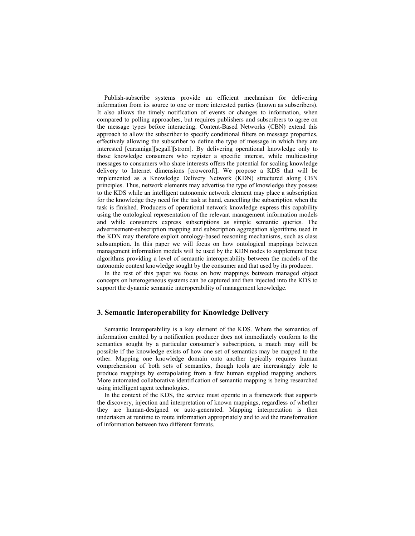Publish-subscribe systems provide an efficient mechanism for delivering information from its source to one or more interested parties (known as subscribers). It also allows the timely notification of events or changes to information, when compared to polling approaches, but requires publishers and subscribers to agree on the message types before interacting. Content-Based Networks (CBN) extend this approach to allow the subscriber to specify conditional filters on message properties, effectively allowing the subscriber to define the type of message in which they are interested [carzaniga][segall][strom]. By delivering operational knowledge only to those knowledge consumers who register a specific interest, while multicasting messages to consumers who share interests offers the potential for scaling knowledge delivery to Internet dimensions [crowcroft]. We propose a KDS that will be implemented as a Knowledge Delivery Network (KDN) structured along CBN principles. Thus, network elements may advertise the type of knowledge they possess to the KDS while an intelligent autonomic network element may place a subscription for the knowledge they need for the task at hand, cancelling the subscription when the task is finished. Producers of operational network knowledge express this capability using the ontological representation of the relevant management information models and while consumers express subscriptions as simple semantic queries. The advertisement-subscription mapping and subscription aggregation algorithms used in the KDN may therefore exploit ontology-based reasoning mechanisms, such as class subsumption. In this paper we will focus on how ontological mappings between management information models will be used by the KDN nodes to supplement these algorithms providing a level of semantic interoperability between the models of the autonomic context knowledge sought by the consumer and that used by its producer.

In the rest of this paper we focus on how mappings between managed object concepts on heterogeneous systems can be captured and then injected into the KDS to support the dynamic semantic interoperability of management knowledge.

# **3. Semantic Interoperability for Knowledge Delivery**

Semantic Interoperability is a key element of the KDS. Where the semantics of information emitted by a notification producer does not immediately conform to the semantics sought by a particular consumer's subscription, a match may still be possible if the knowledge exists of how one set of semantics may be mapped to the other. Mapping one knowledge domain onto another typically requires human comprehension of both sets of semantics, though tools are increasingly able to produce mappings by extrapolating from a few human supplied mapping anchors. More automated collaborative identification of semantic mapping is being researched using intelligent agent technologies.

In the context of the KDS, the service must operate in a framework that supports the discovery, injection and interpretation of known mappings, regardless of whether they are human-designed or auto-generated. Mapping interpretation is then undertaken at runtime to route information appropriately and to aid the transformation of information between two different formats.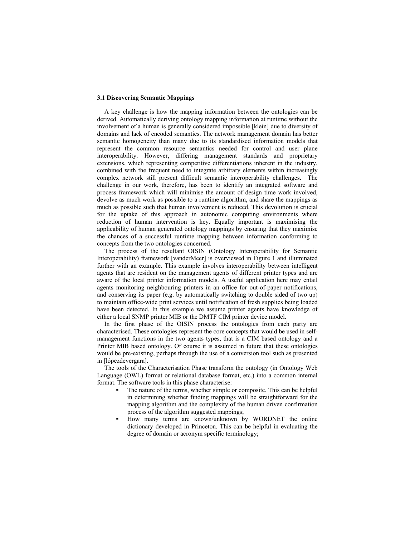#### **3.1 Discovering Semantic Mappings**

A key challenge is how the mapping information between the ontologies can be derived. Automatically deriving ontology mapping information at runtime without the involvement of a human is generally considered impossible [klein] due to diversity of domains and lack of encoded semantics. The network management domain has better semantic homogeneity than many due to its standardised information models that represent the common resource semantics needed for control and user plane interoperability. However, differing management standards and proprietary extensions, which representing competitive differentiations inherent in the industry, combined with the frequent need to integrate arbitrary elements within increasingly complex network still present difficult semantic interoperability challenges. The challenge in our work, therefore, has been to identify an integrated software and process framework which will minimise the amount of design time work involved, devolve as much work as possible to a runtime algorithm, and share the mappings as much as possible such that human involvement is reduced. This devolution is crucial for the uptake of this approach in autonomic computing environments where reduction of human intervention is key. Equally important is maximising the applicability of human generated ontology mappings by ensuring that they maximise the chances of a successful runtime mapping between information conforming to concepts from the two ontologies concerned.

The process of the resultant OISIN (Ontology Interoperability for Semantic Interoperability) framework [vanderMeer] is overviewed in Figure 1 and illuminated further with an example. This example involves interoperability between intelligent agents that are resident on the management agents of different printer types and are aware of the local printer information models. A useful application here may entail agents monitoring neighbouring printers in an office for out-of-paper notifications, and conserving its paper (e.g. by automatically switching to double sided of two up) to maintain office-wide print services until notification of fresh supplies being loaded have been detected. In this example we assume printer agents have knowledge of either a local SNMP printer MIB or the DMTF CIM printer device model.

In the first phase of the OISIN process the ontologies from each party are characterised. These ontologies represent the core concepts that would be used in selfmanagement functions in the two agents types, that is a CIM based ontology and a Printer MIB based ontology. Of course it is assumed in future that these ontologies would be pre-existing, perhaps through the use of a conversion tool such as presented in [lópezdevergara].

The tools of the Characterisation Phase transform the ontology (in Ontology Web Language (OWL) format or relational database format, etc.) into a common internal format. The software tools in this phase characterise:

- The nature of the terms, whether simple or composite. This can be helpful in determining whether finding mappings will be straightforward for the mapping algorithm and the complexity of the human driven confirmation process of the algorithm suggested mappings;
- How many terms are known/unknown by WORDNET the online dictionary developed in Princeton. This can be helpful in evaluating the degree of domain or acronym specific terminology;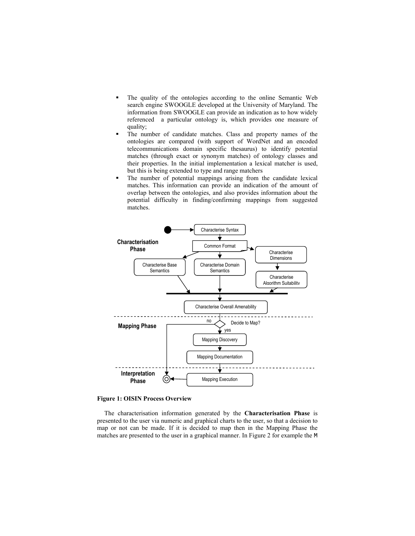- The quality of the ontologies according to the online Semantic Web search engine SWOOGLE developed at the University of Maryland. The information from SWOOGLE can provide an indication as to how widely referenced a particular ontology is, which provides one measure of quality;
- The number of candidate matches. Class and property names of the ontologies are compared (with support of WordNet and an encoded telecommunications domain specific thesaurus) to identify potential matches (through exact or synonym matches) of ontology classes and their properties. In the initial implementation a lexical matcher is used, but this is being extended to type and range matchers
- The number of potential mappings arising from the candidate lexical matches. This information can provide an indication of the amount of overlap between the ontologies, and also provides information about the potential difficulty in finding/confirming mappings from suggested matches.



**Figure 1: OISIN Process Overview** 

The characterisation information generated by the **Characterisation Phase** is presented to the user via numeric and graphical charts to the user, so that a decision to map or not can be made. If it is decided to map then in the Mapping Phase the matches are presented to the user in a graphical manner. In Figure 2 for example the M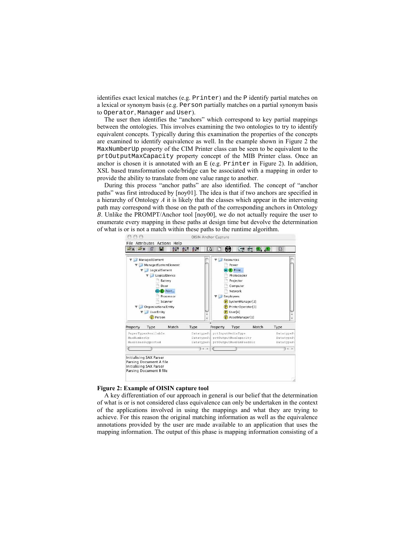identifies exact lexical matches (e.g. Printer) and the P identify partial matches on a lexical or synonym basis (e.g. Person partially matches on a partial synonym basis to Operator, Manager and User).

The user then identifies the "anchors" which correspond to key partial mappings between the ontologies. This involves examining the two ontologies to try to identify equivalent concepts. Typically during this examination the properties of the concepts are examined to identify equivalence as well. In the example shown in Figure 2 the MaxNumberUp property of the CIM Printer class can be seen to be equivalent to the prtOutputMaxCapacity property concept of the MIB Printer class. Once an anchor is chosen it is annotated with an E (e.g. Printer in Figure 2). In addition, XSL based transformation code/bridge can be associated with a mapping in order to provide the ability to translate from one value range to another.

During this process "anchor paths" are also identified. The concept of "anchor paths" was first introduced by [noy01]. The idea is that if two anchors are specified in a hierarchy of Ontology *A* it is likely that the classes which appear in the intervening path may correspond with those on the path of the corresponding anchors in Ontology *B*. Unlike the PROMPT/Anchor tool [noy00], we do not actually require the user to enumerate every mapping in these paths at design time but devolve the determination of what is or is not a match within these paths to the runtime algorithm.



## **Figure 2: Example of OISIN capture tool**

A key differentiation of our approach in general is our belief that the determination of what is or is not considered class equivalence can only be undertaken in the context of the applications involved in using the mappings and what they are trying to achieve. For this reason the original matching information as well as the equivalence annotations provided by the user are made available to an application that uses the mapping information. The output of this phase is mapping information consisting of a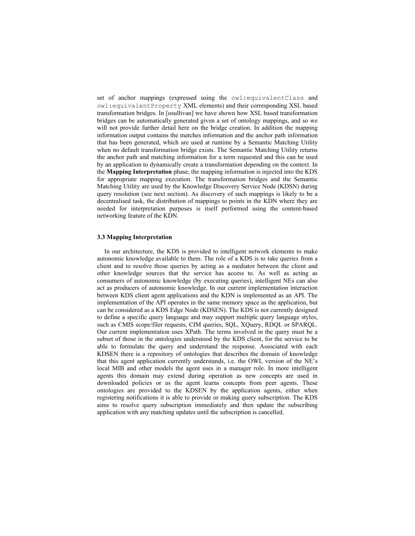set of anchor mappings (expressed using the owl:equivalentClass and owl:equivalentProperty XML elements) and their corresponding XSL based transformation bridges. In [osullivan] we have shown how XSL based transformation bridges can be automatically generated given a set of ontology mappings, and so we will not provide further detail here on the bridge creation. In addition the mapping information output contains the matches information and the anchor path information that has been generated, which are used at runtime by a Semantic Matching Utility when no default transformation bridge exists. The Semantic Matching Utility returns the anchor path and matching information for a term requested and this can be used by an application to dynamically create a transformation depending on the context. In the **Mapping Interpretation** phase, the mapping information is injected into the KDS for appropriate mapping execution. The transformation bridges and the Semantic Matching Utility are used by the Knowledge Discovery Service Node (KDSN) during query resolution (see next section). As discovery of such mappings is likely to be a decentralised task, the distribution of mappings to points in the KDN where they are needed for interpretation purposes is itself performed using the content-based networking feature of the KDN.

#### **3.3 Mapping Interpretation**

In our architecture, the KDS is provided to intelligent network elements to make autonomic knowledge available to them. The role of a KDS is to take queries from a client and to resolve those queries by acting as a mediator between the client and other knowledge sources that the service has access to. As well as acting as consumers of autonomic knowledge (by executing queries), intelligent NEs can also act as producers of autonomic knowledge. In our current implementation interaction between KDS client agent applications and the KDN is implemented as an API. The implementation of the API operates in the same memory space as the application, but can be considered as a KDS Edge Node (KDSEN). The KDS is not currently designed to define a specific query language and may support multiple query language styles, such as CMIS scope/filer requests, CIM queries, SQL, XQuery, RDQL or SPARQL. Our current implementation uses XPath. The terms involved in the query must be a subset of those in the ontologies understood by the KDS client, for the service to be able to formulate the query and understand the response. Associated with each KDSEN there is a repository of ontologies that describes the domain of knowledge that this agent application currently understands, i.e. the OWL version of the NE's local MIB and other models the agent uses in a manager role. In more intelligent agents this domain may extend during operation as new concepts are used in downloaded policies or as the agent learns concepts from peer agents. These ontologies are provided to the KDSEN by the application agents, either when registering notifications it is able to provide or making query subscription. The KDS aims to resolve query subscription immediately and then update the subscribing application with any matching updates until the subscription is cancelled.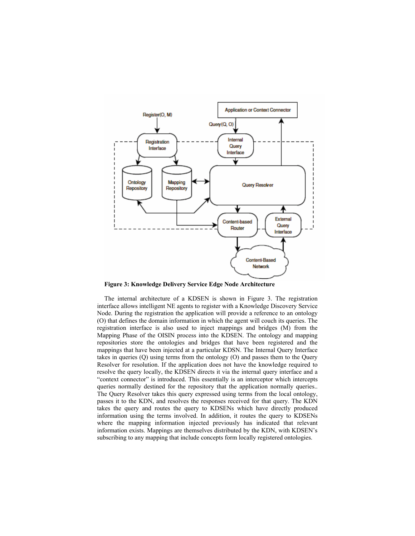

**Figure 3: Knowledge Delivery Service Edge Node Architecture** 

The internal architecture of a KDSEN is shown in Figure 3. The registration interface allows intelligent NE agents to register with a Knowledge Discovery Service Node. During the registration the application will provide a reference to an ontology (O) that defines the domain information in which the agent will couch its queries. The registration interface is also used to inject mappings and bridges (M) from the Mapping Phase of the OISIN process into the KDSEN. The ontology and mapping repositories store the ontologies and bridges that have been registered and the mappings that have been injected at a particular KDSN. The Internal Query Interface takes in queries (Q) using terms from the ontology (O) and passes them to the Query Resolver for resolution. If the application does not have the knowledge required to resolve the query locally, the KDSEN directs it via the internal query interface and a "context connector" is introduced. This essentially is an interceptor which intercepts queries normally destined for the repository that the application normally queries.. The Query Resolver takes this query expressed using terms from the local ontology, passes it to the KDN, and resolves the responses received for that query. The KDN takes the query and routes the query to KDSENs which have directly produced information using the terms involved. In addition, it routes the query to KDSENs where the mapping information injected previously has indicated that relevant information exists. Mappings are themselves distributed by the KDN, with KDSEN's subscribing to any mapping that include concepts form locally registered ontologies.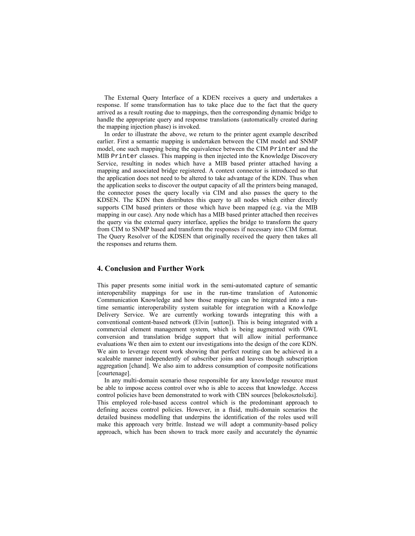The External Query Interface of a KDEN receives a query and undertakes a response. If some transformation has to take place due to the fact that the query arrived as a result routing due to mappings, then the corresponding dynamic bridge to handle the appropriate query and response translations (automatically created during the mapping injection phase) is invoked.

In order to illustrate the above, we return to the printer agent example described earlier. First a semantic mapping is undertaken between the CIM model and SNMP model, one such mapping being the equivalence between the CIM Printer and the MIB Printer classes. This mapping is then injected into the Knowledge Discovery Service, resulting in nodes which have a MIB based printer attached having a mapping and associated bridge registered. A context connector is introduced so that the application does not need to be altered to take advantage of the KDN. Thus when the application seeks to discover the output capacity of all the printers being managed, the connector poses the query locally via CIM and also passes the query to the KDSEN. The KDN then distributes this query to all nodes which either directly supports CIM based printers or those which have been mapped (e.g. via the MIB mapping in our case). Any node which has a MIB based printer attached then receives the query via the external query interface, applies the bridge to transform the query from CIM to SNMP based and transform the responses if necessary into CIM format. The Query Resolver of the KDSEN that originally received the query then takes all the responses and returns them.

# **4. Conclusion and Further Work**

This paper presents some initial work in the semi-automated capture of semantic interoperability mappings for use in the run-time translation of Autonomic Communication Knowledge and how those mappings can be integrated into a runtime semantic interoperability system suitable for integration with a Knowledge Delivery Service. We are currently working towards integrating this with a conventional content-based network (Elvin [sutton]). This is being integrated with a commercial element management system, which is being augmented with OWL conversion and translation bridge support that will allow initial performance evaluations We then aim to extent our investigations into the design of the core KDN. We aim to leverage recent work showing that perfect routing can be achieved in a scaleable manner independently of subscriber joins and leaves though subscription aggregation [chand]. We also aim to address consumption of composite notifications [courtenage].

In any multi-domain scenario those responsible for any knowledge resource must be able to impose access control over who is able to access that knowledge. Access control policies have been demonstrated to work with CBN sources [belokosztolszki]. This employed role-based access control which is the predominant approach to defining access control policies. However, in a fluid, multi-domain scenarios the detailed business modelling that underpins the identification of the roles used will make this approach very brittle. Instead we will adopt a community-based policy approach, which has been shown to track more easily and accurately the dynamic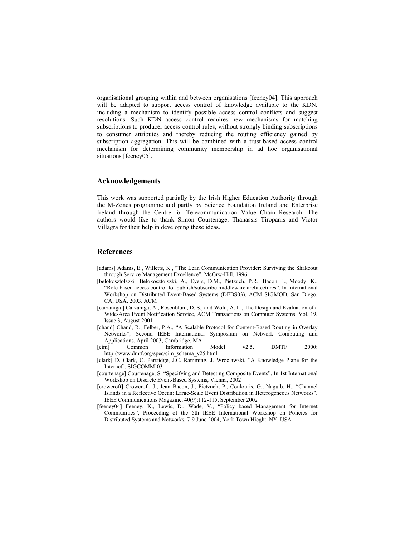organisational grouping within and between organisations [feeney04]. This approach will be adapted to support access control of knowledge available to the KDN, including a mechanism to identify possible access control conflicts and suggest resolutions. Such KDN access control requires new mechanisms for matching subscriptions to producer access control rules, without strongly binding subscriptions to consumer attributes and thereby reducing the routing efficiency gained by subscription aggregation. This will be combined with a trust-based access control mechanism for determining community membership in ad hoc organisational situations [feeney05].

## **Acknowledgements**

This work was supported partially by the Irish Higher Education Authority through the M-Zones programme and partly by Science Foundation Ireland and Enterprise Ireland through the Centre for Telecommunication Value Chain Research. The authors would like to thank Simon Courtenage, Thanassis Tiropanis and Victor Villagra for their help in developing these ideas.

### **References**

- [adams] Adams, E., Willetts, K., "The Lean Communication Provider: Surviving the Shakeout through Service Management Excellence", McGrw-Hill, 1996
- [belokosztolszki] Belokosztolszki, A., Eyers, D.M., Pietzuch, P.R., Bacon, J., Moody, K., "Role-based access control for publish/subscribe middleware architectures". In International Workshop on Distributed Event-Based Systems (DEBS03), ACM SIGMOD, San Diego, CA, USA, 2003. ACM
- [carzaniga ] Carzaniga, A., Rosenblum, D. S., and Wold, A. L., The Design and Evaluation of a Wide-Area Event Notification Service, ACM Transactions on Computer Systems, Vol. 19, Issue 3, August 2001
- [chand] Chand, R., Felber, P.A., "A Scalable Protocol for Content-Based Routing in Overlay Networks", Second IEEE International Symposium on Network Computing and Applications, April 2003, Cambridge, MA
- [cim] Common Information Model v2.5, DMTF 2000: http://www.dmtf.org/spec/cim\_schema\_v25.html
- [clark] D. Clark, C. Partridge, J.C. Ramming, J. Wroclawski, "A Knowledge Plane for the Internet", SIGCOMM'03
- [courtenage] Courtenage, S. "Specifying and Detecting Composite Events", In 1st International Workshop on Discrete Event-Based Systems, Vienna, 2002
- [crowcroft] Crowcroft, J., Jean Bacon, J., Pietzuch, P., Coulouris, G., Naguib. H., "Channel Islands in a Reflective Ocean: Large-Scale Event Distribution in Heterogeneous Networks", IEEE Communications Magazine, 40(9):112-115, September 2002
- [feeney04] Feeney, K., Lewis, D., Wade, V., "Policy based Management for Internet Communities", Proceeding of the 5th IEEE International Workshop on Policies for Distributed Systems and Networks, 7-9 June 2004, York Town Hieght, NY, USA